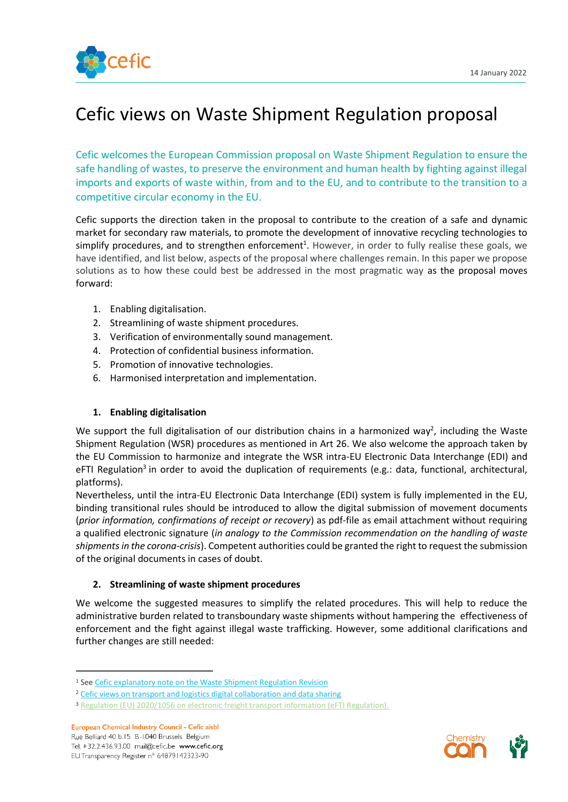

# Cefic views on Waste Shipment Regulation proposal

Cefic welcomes the European Commission proposal on Waste Shipment Regulation to ensure the safe handling of wastes, to preserve the environment and human health by fighting against illegal imports and exports of waste within, from and to the EU, and to contribute to the transition to a competitive circular economy in the EU.

Cefic supports the direction taken in the proposal to contribute to the creation of a safe and dynamic market for secondary raw materials, to promote the development of innovative recycling technologies to simplify procedures, and to strengthen enforcement<sup>1</sup>. However, in order to fully realise these goals, we have identified, and list below, aspects of the proposal where challenges remain. In this paper we propose solutions as to how these could best be addressed in the most pragmatic way as the proposal moves forward:

- 1. Enabling digitalisation.
- 2. Streamlining of waste shipment procedures.
- 3. Verification of environmentally sound management.
- 4. Protection of confidential business information.
- 5. Promotion of innovative technologies.
- 6. Harmonised interpretation and implementation.

## **1. Enabling digitalisation**

We support the full digitalisation of our distribution chains in a harmonized way<sup>2</sup>, including the Waste Shipment Regulation (WSR) procedures as mentioned in Art 26. We also welcome the approach taken by the EU Commission to harmonize and integrate the WSR intra-EU Electronic Data Interchange (EDI) and eFTI Regulation<sup>3</sup> in order to avoid the duplication of requirements (e.g.: data, functional, architectural, platforms).

Nevertheless, until the intra-EU Electronic Data Interchange (EDI) system is fully implemented in the EU, binding transitional rules should be introduced to allow the digital submission of movement documents (*prior information, confirmations of receipt or recovery*) as pdf-file as email attachment without requiring a qualified electronic signature (*in analogy to the Commission recommendation on the handling of waste shipments in the corona-crisis*). Competent authorities could be granted the right to request the submission of the original documents in cases of doubt.

## **2. Streamlining of waste shipment procedures**

We welcome the suggested measures to simplify the related procedures. This will help to reduce the administrative burden related to transboundary waste shipments without hampering the effectiveness of enforcement and the fight against illegal waste trafficking. However, some additional clarifications and further changes are still needed:



<sup>&</sup>lt;sup>1</sup> Se[e Cefic explanatory note on the Waste Shipment Regulation Revision](https://cefic.org/app/uploads/2020/09/Waste-Shipments-Regulation-WSR-Explanatory-note-based-on-Cefic-position-paper-on-Waste-Shipment-Regulation-to-support-our-reply-to-the-public-consultation-23-July-2020.pdf)

<sup>&</sup>lt;sup>2</sup> [Cefic views on transport and logistics digital collaboration and data sharing](https://cefic.org/app/uploads/2022/01/Cefic-position-on-transport-and-logistics-digital-collaboration-and-data-sharing.pdf)

<sup>3</sup> [Regulation \(EU\) 2020/1056 on electronic freight transport information \(eFTI Regulation\).](https://eur-lex.europa.eu/legal-content/EN/TXT/?uri=CELEX%3A32020R1056)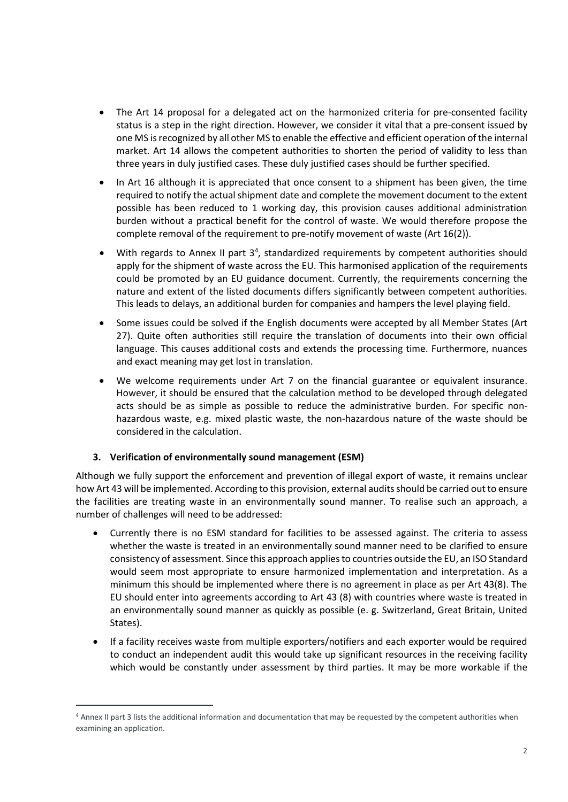- The Art 14 proposal for a delegated act on the harmonized criteria for pre-consented facility status is a step in the right direction. However, we consider it vital that a pre-consent issued by one MS is recognized by all other MS to enable the effective and efficient operation of the internal market. Art 14 allows the competent authorities to shorten the period of validity to less than three years in duly justified cases. These duly justified cases should be further specified.
- In Art 16 although it is appreciated that once consent to a shipment has been given, the time required to notify the actual shipment date and complete the movement document to the extent possible has been reduced to 1 working day, this provision causes additional administration burden without a practical benefit for the control of waste. We would therefore propose the complete removal of the requirement to pre-notify movement of waste (Art 16(2)).
- With regards to Annex II part  $3<sup>4</sup>$ , standardized requirements by competent authorities should apply for the shipment of waste across the EU. This harmonised application of the requirements could be promoted by an EU guidance document. Currently, the requirements concerning the nature and extent of the listed documents differs significantly between competent authorities. This leads to delays, an additional burden for companies and hampers the level playing field.
- Some issues could be solved if the English documents were accepted by all Member States (Art 27). Quite often authorities still require the translation of documents into their own official language. This causes additional costs and extends the processing time. Furthermore, nuances and exact meaning may get lost in translation.
- We welcome requirements under Art 7 on the financial guarantee or equivalent insurance. However, it should be ensured that the calculation method to be developed through delegated acts should be as simple as possible to reduce the administrative burden. For specific nonhazardous waste, e.g. mixed plastic waste, the non-hazardous nature of the waste should be considered in the calculation.

## **3. Verification of environmentally sound management (ESM)**

Although we fully support the enforcement and prevention of illegal export of waste, it remains unclear how Art 43 will be implemented. According to this provision, external audits should be carried out to ensure the facilities are treating waste in an environmentally sound manner. To realise such an approach, a number of challenges will need to be addressed:

- Currently there is no ESM standard for facilities to be assessed against. The criteria to assess whether the waste is treated in an environmentally sound manner need to be clarified to ensure consistency of assessment. Since this approach applies to countries outside the EU, an ISO Standard would seem most appropriate to ensure harmonized implementation and interpretation. As a minimum this should be implemented where there is no agreement in place as per Art 43(8). The EU should enter into agreements according to Art 43 (8) with countries where waste is treated in an environmentally sound manner as quickly as possible (e. g. Switzerland, Great Britain, United States).
- If a facility receives waste from multiple exporters/notifiers and each exporter would be required to conduct an independent audit this would take up significant resources in the receiving facility which would be constantly under assessment by third parties. It may be more workable if the

<sup>4</sup> Annex II part 3 lists the additional information and documentation that may be requested by the competent authorities when examining an application.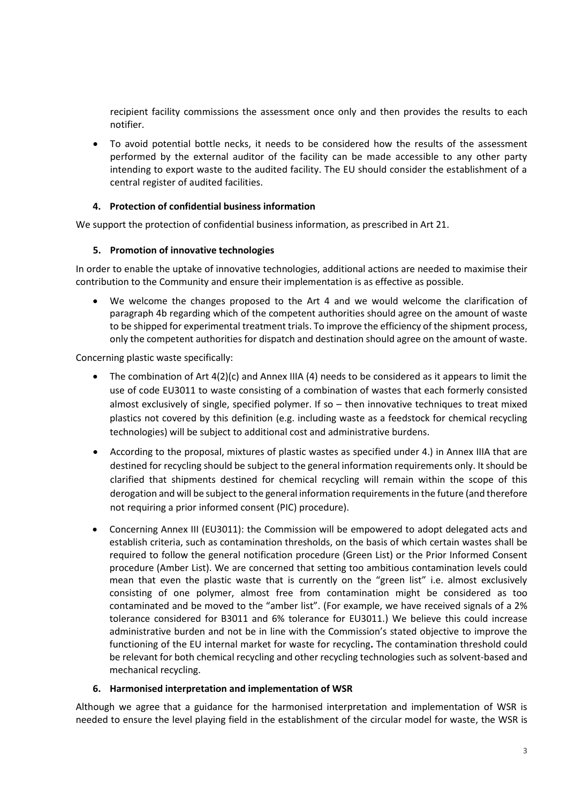recipient facility commissions the assessment once only and then provides the results to each notifier.

• To avoid potential bottle necks, it needs to be considered how the results of the assessment performed by the external auditor of the facility can be made accessible to any other party intending to export waste to the audited facility. The EU should consider the establishment of a central register of audited facilities.

## **4. Protection of confidential business information**

We support the protection of confidential business information, as prescribed in Art 21.

#### **5. Promotion of innovative technologies**

In order to enable the uptake of innovative technologies, additional actions are needed to maximise their contribution to the Community and ensure their implementation is as effective as possible.

• We welcome the changes proposed to the Art 4 and we would welcome the clarification of paragraph 4b regarding which of the competent authorities should agree on the amount of waste to be shipped for experimental treatment trials. To improve the efficiency of the shipment process, only the competent authorities for dispatch and destination should agree on the amount of waste.

Concerning plastic waste specifically:

- The combination of Art  $4(2)(c)$  and Annex IIIA (4) needs to be considered as it appears to limit the use of code EU3011 to waste consisting of a combination of wastes that each formerly consisted almost exclusively of single, specified polymer. If so – then innovative techniques to treat mixed plastics not covered by this definition (e.g. including waste as a feedstock for chemical recycling technologies) will be subject to additional cost and administrative burdens.
- According to the proposal, mixtures of plastic wastes as specified under 4.) in Annex IIIA that are destined for recycling should be subject to the general information requirements only. It should be clarified that shipments destined for chemical recycling will remain within the scope of this derogation and will be subject to the general information requirements in the future (and therefore not requiring a prior informed consent (PIC) procedure).
- Concerning Annex III (EU3011): the Commission will be empowered to adopt delegated acts and establish criteria, such as contamination thresholds, on the basis of which certain wastes shall be required to follow the general notification procedure (Green List) or the Prior Informed Consent procedure (Amber List). We are concerned that setting too ambitious contamination levels could mean that even the plastic waste that is currently on the "green list" i.e. almost exclusively consisting of one polymer, almost free from contamination might be considered as too contaminated and be moved to the "amber list". (For example, we have received signals of a 2% tolerance considered for B3011 and 6% tolerance for EU3011.) We believe this could increase administrative burden and not be in line with the Commission's stated objective to improve the functioning of the EU internal market for waste for recycling**.** The contamination threshold could be relevant for both chemical recycling and other recycling technologies such as solvent-based and mechanical recycling.

#### **6. Harmonised interpretation and implementation of WSR**

Although we agree that a guidance for the harmonised interpretation and implementation of WSR is needed to ensure the level playing field in the establishment of the circular model for waste, the WSR is